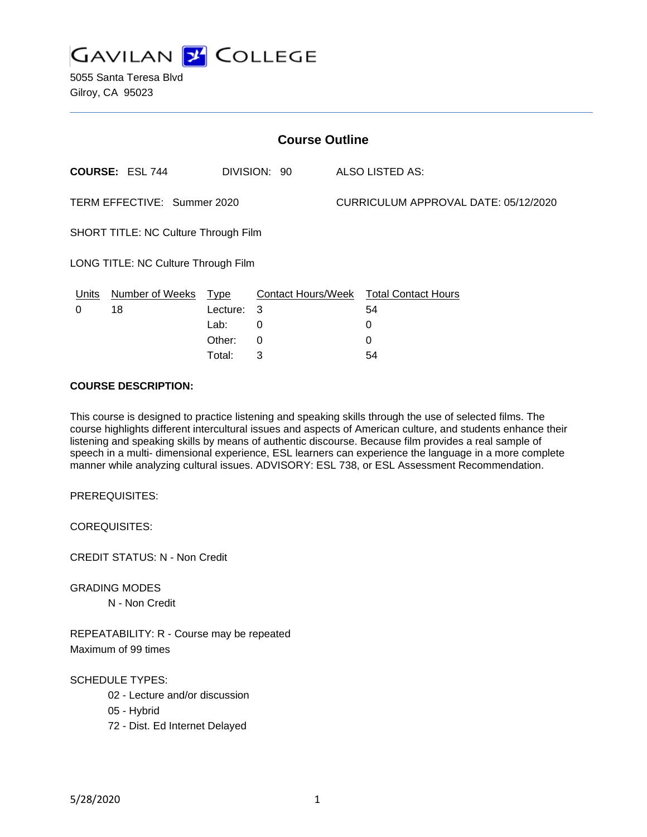

| <b>Course Outline</b>                       |                      |          |              |                                      |                                        |
|---------------------------------------------|----------------------|----------|--------------|--------------------------------------|----------------------------------------|
|                                             | COURSE: ESL 744      |          | DIVISION: 90 |                                      | ALSO LISTED AS:                        |
| TERM EFFECTIVE: Summer 2020                 |                      |          |              | CURRICULUM APPROVAL DATE: 05/12/2020 |                                        |
| <b>SHORT TITLE: NC Culture Through Film</b> |                      |          |              |                                      |                                        |
| LONG TITLE: NC Culture Through Film         |                      |          |              |                                      |                                        |
| <b>Units</b>                                | Number of Weeks Type |          |              |                                      | Contact Hours/Week Total Contact Hours |
| 0                                           | 18                   | Lecture: | -3           |                                      | 54                                     |
|                                             |                      | Lab:     | 0            |                                      | 0                                      |
|                                             |                      | Other:   | $\Omega$     |                                      | 0                                      |
|                                             |                      | Total:   | 3            |                                      | 54                                     |

#### **COURSE DESCRIPTION:**

This course is designed to practice listening and speaking skills through the use of selected films. The course highlights different intercultural issues and aspects of American culture, and students enhance their listening and speaking skills by means of authentic discourse. Because film provides a real sample of speech in a multi- dimensional experience, ESL learners can experience the language in a more complete manner while analyzing cultural issues. ADVISORY: ESL 738, or ESL Assessment Recommendation.

PREREQUISITES:

COREQUISITES:

CREDIT STATUS: N - Non Credit

GRADING MODES

N - Non Credit

REPEATABILITY: R - Course may be repeated Maximum of 99 times

SCHEDULE TYPES:

- 02 Lecture and/or discussion
- 05 Hybrid
- 72 Dist. Ed Internet Delayed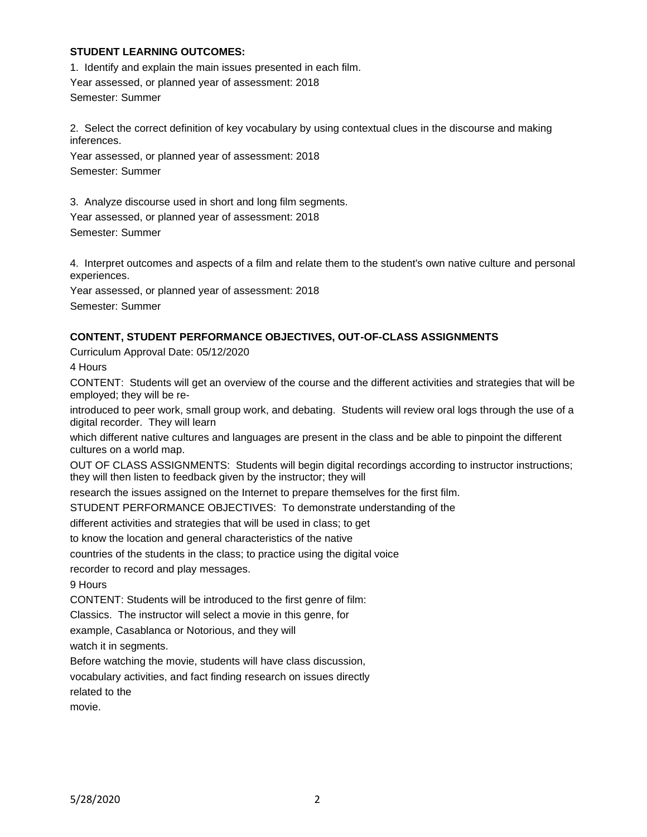#### **STUDENT LEARNING OUTCOMES:**

1. Identify and explain the main issues presented in each film. Year assessed, or planned year of assessment: 2018 Semester: Summer

2. Select the correct definition of key vocabulary by using contextual clues in the discourse and making inferences.

Year assessed, or planned year of assessment: 2018 Semester: Summer

3. Analyze discourse used in short and long film segments.

Year assessed, or planned year of assessment: 2018 Semester: Summer

4. Interpret outcomes and aspects of a film and relate them to the student's own native culture and personal experiences.

Year assessed, or planned year of assessment: 2018

Semester: Summer

## **CONTENT, STUDENT PERFORMANCE OBJECTIVES, OUT-OF-CLASS ASSIGNMENTS**

Curriculum Approval Date: 05/12/2020

4 Hours

CONTENT: Students will get an overview of the course and the different activities and strategies that will be employed; they will be re-

introduced to peer work, small group work, and debating. Students will review oral logs through the use of a digital recorder. They will learn

which different native cultures and languages are present in the class and be able to pinpoint the different cultures on a world map.

OUT OF CLASS ASSIGNMENTS: Students will begin digital recordings according to instructor instructions; they will then listen to feedback given by the instructor; they will

research the issues assigned on the Internet to prepare themselves for the first film.

STUDENT PERFORMANCE OBJECTIVES: To demonstrate understanding of the

different activities and strategies that will be used in class; to get

to know the location and general characteristics of the native

countries of the students in the class; to practice using the digital voice

recorder to record and play messages.

9 Hours

CONTENT: Students will be introduced to the first genre of film:

Classics. The instructor will select a movie in this genre, for

example, Casablanca or Notorious, and they will

watch it in segments.

Before watching the movie, students will have class discussion,

vocabulary activities, and fact finding research on issues directly

related to the

movie.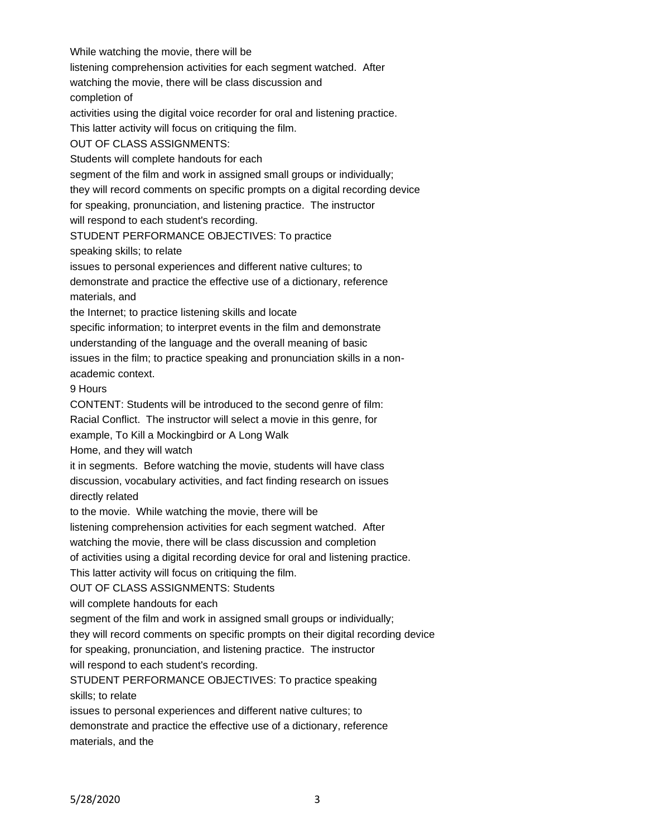While watching the movie, there will be listening comprehension activities for each segment watched. After watching the movie, there will be class discussion and completion of activities using the digital voice recorder for oral and listening practice. This latter activity will focus on critiquing the film. OUT OF CLASS ASSIGNMENTS: Students will complete handouts for each segment of the film and work in assigned small groups or individually; they will record comments on specific prompts on a digital recording device for speaking, pronunciation, and listening practice. The instructor will respond to each student's recording. STUDENT PERFORMANCE OBJECTIVES: To practice speaking skills; to relate issues to personal experiences and different native cultures; to demonstrate and practice the effective use of a dictionary, reference materials, and the Internet; to practice listening skills and locate specific information; to interpret events in the film and demonstrate understanding of the language and the overall meaning of basic issues in the film; to practice speaking and pronunciation skills in a nonacademic context. 9 Hours CONTENT: Students will be introduced to the second genre of film: Racial Conflict. The instructor will select a movie in this genre, for example, To Kill a Mockingbird or A Long Walk Home, and they will watch it in segments. Before watching the movie, students will have class discussion, vocabulary activities, and fact finding research on issues directly related to the movie. While watching the movie, there will be listening comprehension activities for each segment watched. After watching the movie, there will be class discussion and completion of activities using a digital recording device for oral and listening practice. This latter activity will focus on critiquing the film. OUT OF CLASS ASSIGNMENTS: Students will complete handouts for each segment of the film and work in assigned small groups or individually; they will record comments on specific prompts on their digital recording device for speaking, pronunciation, and listening practice. The instructor will respond to each student's recording. STUDENT PERFORMANCE OBJECTIVES: To practice speaking skills; to relate issues to personal experiences and different native cultures; to demonstrate and practice the effective use of a dictionary, reference materials, and the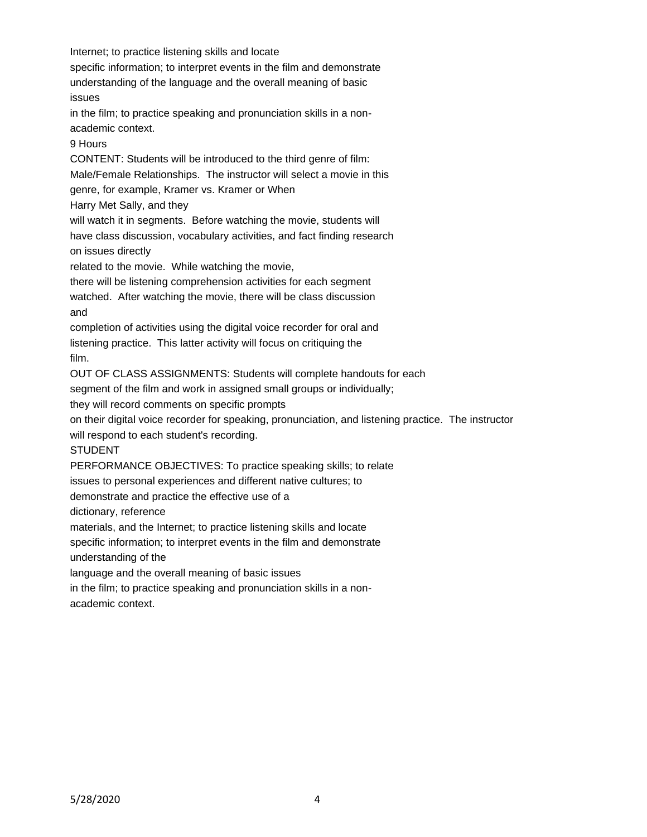Internet; to practice listening skills and locate specific information; to interpret events in the film and demonstrate understanding of the language and the overall meaning of basic issues in the film; to practice speaking and pronunciation skills in a nonacademic context. 9 Hours CONTENT: Students will be introduced to the third genre of film: Male/Female Relationships. The instructor will select a movie in this genre, for example, Kramer vs. Kramer or When Harry Met Sally, and they will watch it in segments. Before watching the movie, students will have class discussion, vocabulary activities, and fact finding research on issues directly related to the movie. While watching the movie, there will be listening comprehension activities for each segment watched. After watching the movie, there will be class discussion and completion of activities using the digital voice recorder for oral and listening practice. This latter activity will focus on critiquing the film. OUT OF CLASS ASSIGNMENTS: Students will complete handouts for each segment of the film and work in assigned small groups or individually; they will record comments on specific prompts on their digital voice recorder for speaking, pronunciation, and listening practice. The instructor will respond to each student's recording. STUDENT PERFORMANCE OBJECTIVES: To practice speaking skills; to relate issues to personal experiences and different native cultures; to demonstrate and practice the effective use of a dictionary, reference materials, and the Internet; to practice listening skills and locate specific information; to interpret events in the film and demonstrate understanding of the language and the overall meaning of basic issues in the film; to practice speaking and pronunciation skills in a nonacademic context.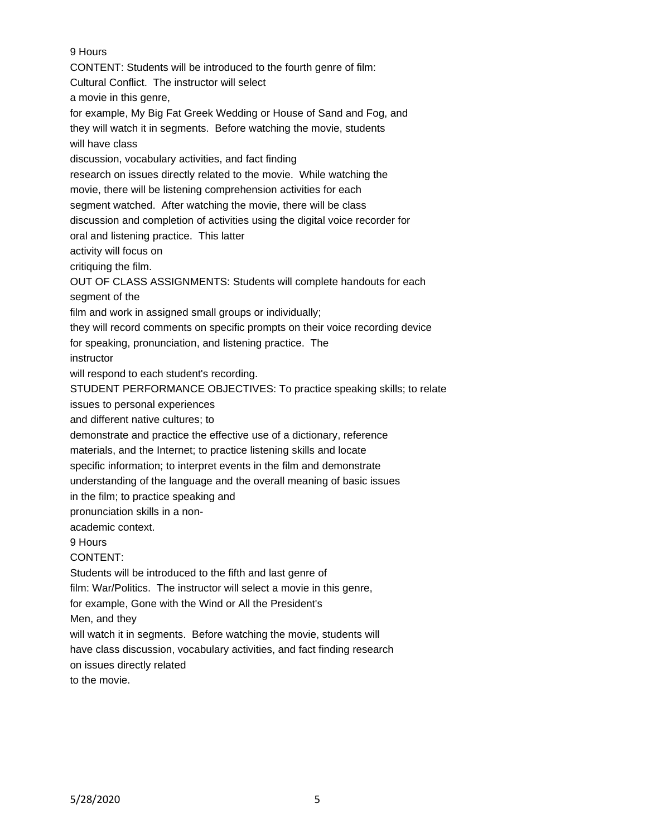9 Hours

CONTENT: Students will be introduced to the fourth genre of film: Cultural Conflict. The instructor will select a movie in this genre, for example, My Big Fat Greek Wedding or House of Sand and Fog, and they will watch it in segments. Before watching the movie, students will have class discussion, vocabulary activities, and fact finding research on issues directly related to the movie. While watching the movie, there will be listening comprehension activities for each segment watched. After watching the movie, there will be class discussion and completion of activities using the digital voice recorder for oral and listening practice. This latter activity will focus on critiquing the film. OUT OF CLASS ASSIGNMENTS: Students will complete handouts for each segment of the film and work in assigned small groups or individually; they will record comments on specific prompts on their voice recording device for speaking, pronunciation, and listening practice. The instructor will respond to each student's recording. STUDENT PERFORMANCE OBJECTIVES: To practice speaking skills; to relate issues to personal experiences and different native cultures; to demonstrate and practice the effective use of a dictionary, reference materials, and the Internet; to practice listening skills and locate specific information; to interpret events in the film and demonstrate understanding of the language and the overall meaning of basic issues in the film; to practice speaking and pronunciation skills in a nonacademic context. 9 Hours CONTENT: Students will be introduced to the fifth and last genre of film: War/Politics. The instructor will select a movie in this genre, for example, Gone with the Wind or All the President's Men, and they will watch it in segments. Before watching the movie, students will have class discussion, vocabulary activities, and fact finding research on issues directly related to the movie.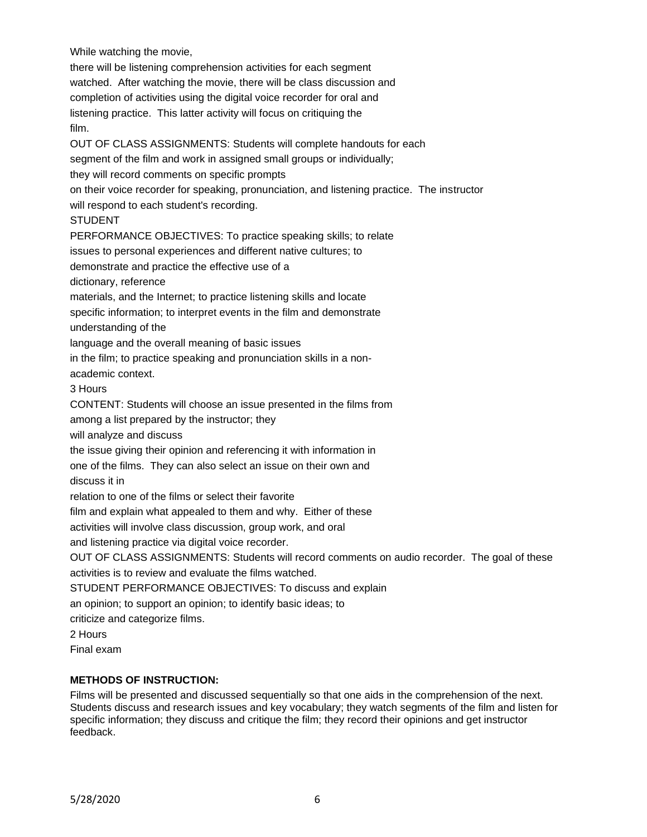While watching the movie,

there will be listening comprehension activities for each segment watched. After watching the movie, there will be class discussion and completion of activities using the digital voice recorder for oral and listening practice. This latter activity will focus on critiquing the film.

OUT OF CLASS ASSIGNMENTS: Students will complete handouts for each segment of the film and work in assigned small groups or individually; they will record comments on specific prompts on their voice recorder for speaking, pronunciation, and listening practice. The instructor will respond to each student's recording. STUDENT PERFORMANCE OBJECTIVES: To practice speaking skills; to relate issues to personal experiences and different native cultures; to demonstrate and practice the effective use of a dictionary, reference materials, and the Internet; to practice listening skills and locate specific information; to interpret events in the film and demonstrate understanding of the language and the overall meaning of basic issues in the film; to practice speaking and pronunciation skills in a nonacademic context. 3 Hours CONTENT: Students will choose an issue presented in the films from among a list prepared by the instructor; they will analyze and discuss the issue giving their opinion and referencing it with information in one of the films. They can also select an issue on their own and discuss it in relation to one of the films or select their favorite film and explain what appealed to them and why. Either of these activities will involve class discussion, group work, and oral and listening practice via digital voice recorder. OUT OF CLASS ASSIGNMENTS: Students will record comments on audio recorder. The goal of these activities is to review and evaluate the films watched. STUDENT PERFORMANCE OBJECTIVES: To discuss and explain an opinion; to support an opinion; to identify basic ideas; to criticize and categorize films. 2 Hours

Final exam

#### **METHODS OF INSTRUCTION:**

Films will be presented and discussed sequentially so that one aids in the comprehension of the next. Students discuss and research issues and key vocabulary; they watch segments of the film and listen for specific information; they discuss and critique the film; they record their opinions and get instructor feedback.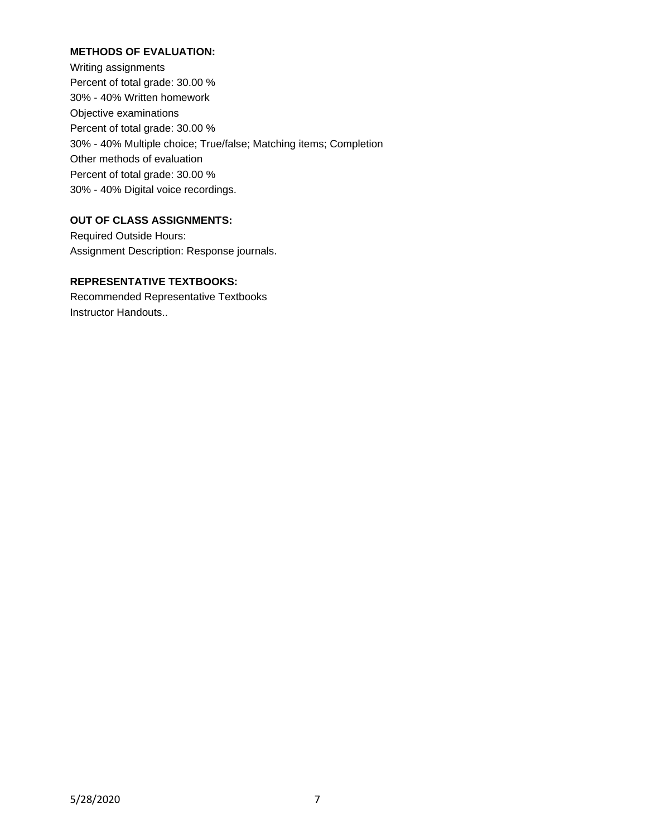## **METHODS OF EVALUATION:**

Writing assignments Percent of total grade: 30.00 % 30% - 40% Written homework Objective examinations Percent of total grade: 30.00 % 30% - 40% Multiple choice; True/false; Matching items; Completion Other methods of evaluation Percent of total grade: 30.00 % 30% - 40% Digital voice recordings.

## **OUT OF CLASS ASSIGNMENTS:**

Required Outside Hours: Assignment Description: Response journals.

# **REPRESENTATIVE TEXTBOOKS:**

Recommended Representative Textbooks Instructor Handouts..